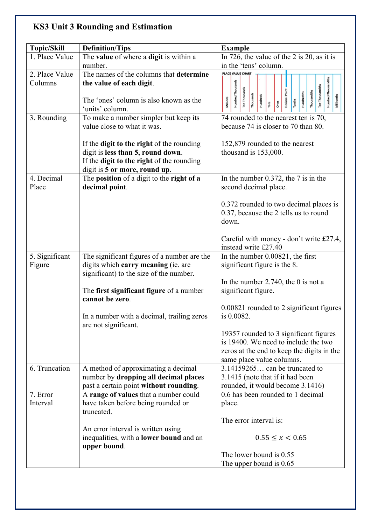## **KS3 Unit 3 Rounding and Estimation**

| <b>Topic/Skill</b>       | <b>Definition/Tips</b>                                                                                                                                              | <b>Example</b>                                                                                                                                            |
|--------------------------|---------------------------------------------------------------------------------------------------------------------------------------------------------------------|-----------------------------------------------------------------------------------------------------------------------------------------------------------|
| 1. Place Value           | The value of where a digit is within a                                                                                                                              | In 726, the value of the 2 is 20, as it is                                                                                                                |
|                          | number.                                                                                                                                                             | in the 'tens' column.                                                                                                                                     |
| 2. Place Value           | The names of the columns that determine                                                                                                                             | <b>PLACE VALUE CHART</b>                                                                                                                                  |
| Columns                  | the value of each digit.                                                                                                                                            | Hundred-Thousandths<br><b>Hundred Thousands</b><br>Ten-Thousandths<br>Ten Thousands                                                                       |
|                          | The 'ones' column is also known as the<br>'units' column.                                                                                                           | Decimal Point<br>Thousandths<br>Hundredths<br>Thousands<br>Millionths<br>Hundreds<br>Millions<br>Tenths<br><b>Des</b><br>Tens                             |
| 3. Rounding              | To make a number simpler but keep its<br>value close to what it was.                                                                                                | 74 rounded to the nearest ten is 70,<br>because 74 is closer to 70 than 80.                                                                               |
|                          | If the <b>digit to the right</b> of the rounding<br>digit is less than 5, round down.<br>If the digit to the right of the rounding<br>digit is 5 or more, round up. | 152,879 rounded to the nearest<br>thousand is $153,000$ .                                                                                                 |
| 4. Decimal<br>Place      | The position of a digit to the right of a<br>decimal point.                                                                                                         | In the number $0.372$ , the 7 is in the<br>second decimal place.                                                                                          |
|                          |                                                                                                                                                                     | 0.372 rounded to two decimal places is<br>0.37, because the 2 tells us to round<br>down.                                                                  |
|                          |                                                                                                                                                                     | Careful with money - don't write £27.4,<br>instead write £27.40                                                                                           |
| 5. Significant<br>Figure | The significant figures of a number are the<br>digits which carry meaning (ie. are<br>significant) to the size of the number.                                       | In the number 0.00821, the first<br>significant figure is the 8.                                                                                          |
|                          | The first significant figure of a number<br>cannot be zero.                                                                                                         | In the number 2.740, the 0 is not a<br>significant figure.                                                                                                |
|                          | In a number with a decimal, trailing zeros<br>are not significant.                                                                                                  | 0.00821 rounded to 2 significant figures<br>is 0.0082.                                                                                                    |
|                          |                                                                                                                                                                     | 19357 rounded to 3 significant figures<br>is 19400. We need to include the two<br>zeros at the end to keep the digits in the<br>same place value columns. |
| 6. Truncation            | A method of approximating a decimal<br>number by dropping all decimal places                                                                                        | 3.14159265 can be truncated to<br>3.1415 (note that if it had been                                                                                        |
| 7. Error                 | past a certain point without rounding.<br>A range of values that a number could                                                                                     | rounded, it would become 3.1416)<br>0.6 has been rounded to 1 decimal                                                                                     |
| Interval                 | have taken before being rounded or<br>truncated.                                                                                                                    | place.                                                                                                                                                    |
|                          |                                                                                                                                                                     | The error interval is:                                                                                                                                    |
|                          | An error interval is written using                                                                                                                                  |                                                                                                                                                           |
|                          | inequalities, with a <b>lower bound</b> and an<br>upper bound.                                                                                                      | $0.55 \leq x < 0.65$                                                                                                                                      |
|                          |                                                                                                                                                                     | The lower bound is 0.55                                                                                                                                   |
|                          |                                                                                                                                                                     | The upper bound is 0.65                                                                                                                                   |